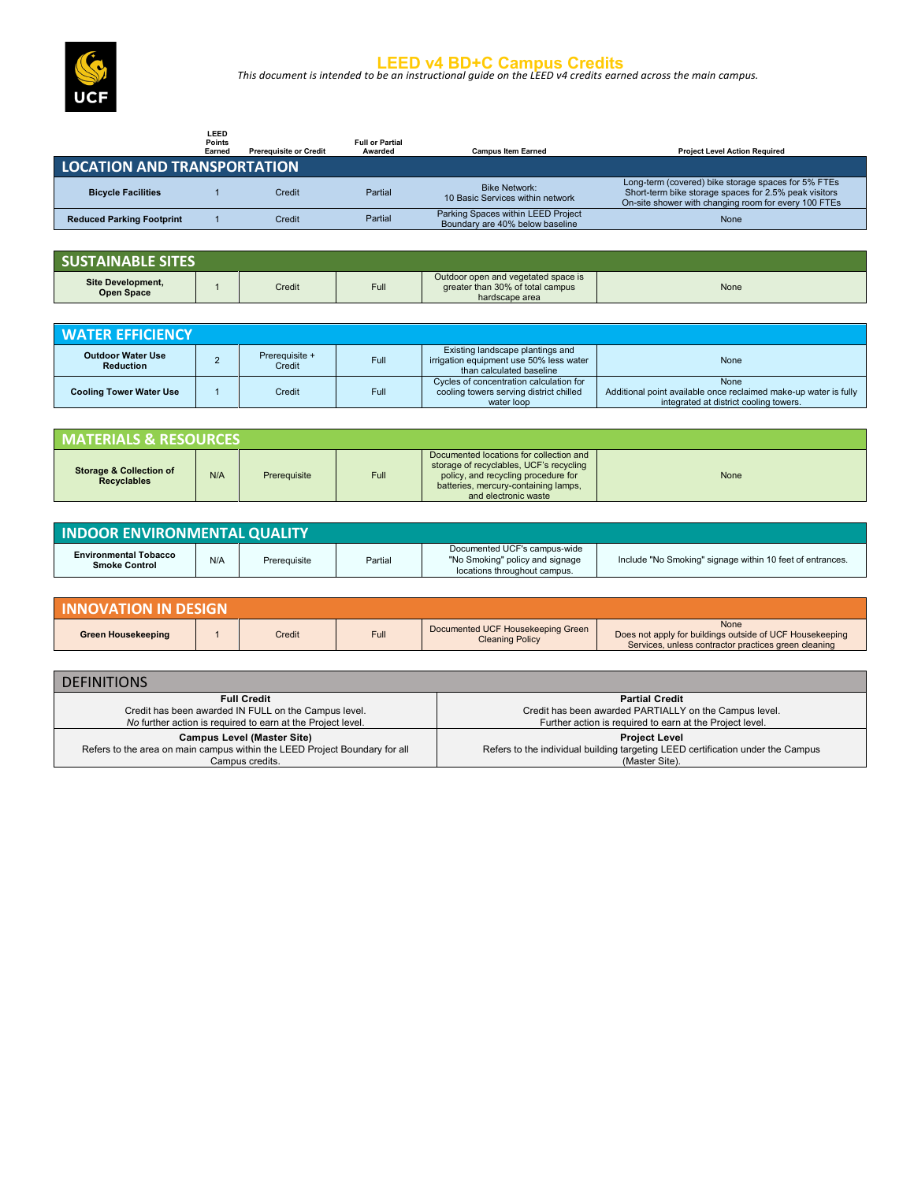

**LEED v4 BD+C Campus Credits** *This document is intended to be an instructional guide on the LEED v4 credits earned across the main campus.* 

|                                    | LEED<br><b>Points</b><br>Earned | <b>Prerequisite or Credit</b> | <b>Full or Partial</b><br>Awarded | <b>Campus Item Earned</b>                                             | <b>Project Level Action Required</b>                                                                                                                                 |
|------------------------------------|---------------------------------|-------------------------------|-----------------------------------|-----------------------------------------------------------------------|----------------------------------------------------------------------------------------------------------------------------------------------------------------------|
| <b>LOCATION AND TRANSPORTATION</b> |                                 |                               |                                   |                                                                       |                                                                                                                                                                      |
| <b>Bicycle Facilities</b>          |                                 | Credit                        | Partial                           | <b>Bike Network:</b><br>10 Basic Services within network              | Long-term (covered) bike storage spaces for 5% FTEs<br>Short-term bike storage spaces for 2.5% peak visitors<br>On-site shower with changing room for every 100 FTEs |
| <b>Reduced Parking Footprint</b>   |                                 | Credit                        | Partial                           | Parking Spaces within LEED Project<br>Boundary are 40% below baseline | None                                                                                                                                                                 |

| <b>SUSTAINABLE SITES</b>                      |        |      |                                                                                           |      |
|-----------------------------------------------|--------|------|-------------------------------------------------------------------------------------------|------|
| <b>Site Development,</b><br><b>Open Space</b> | Credit | Full | Outdoor open and vegetated space is<br>areater than 30% of total campus<br>hardscape area | None |

| <b>WATER EFFICIENCY</b>               |                          |      |                                                                                                         |                                                                                                                    |
|---------------------------------------|--------------------------|------|---------------------------------------------------------------------------------------------------------|--------------------------------------------------------------------------------------------------------------------|
| <b>Outdoor Water Use</b><br>Reduction | Prerequisite +<br>Credit | Full | Existing landscape plantings and<br>irrigation equipment use 50% less water<br>than calculated baseline | None                                                                                                               |
| <b>Cooling Tower Water Use</b>        | Credit                   | Full | Cycles of concentration calculation for<br>cooling towers serving district chilled<br>water loop        | None<br>Additional point available once reclaimed make-up water is fully<br>integrated at district cooling towers. |

| <b>MATERIALS &amp; RESOURCES</b>                         |     |              |      |                                                                                                                                                                                           |      |
|----------------------------------------------------------|-----|--------------|------|-------------------------------------------------------------------------------------------------------------------------------------------------------------------------------------------|------|
| <b>Storage &amp; Collection of</b><br><b>Recyclables</b> | N/A | Prerequisite | Full | Documented locations for collection and<br>storage of recyclables, UCF's recycling<br>policy, and recycling procedure for<br>batteries, mercury-containing lamps,<br>and electronic waste | None |

| <b>INDOOR ENVIRONMENTAL QUALITY</b>                  |     |              |         |                                                                                                 |                                                           |
|------------------------------------------------------|-----|--------------|---------|-------------------------------------------------------------------------------------------------|-----------------------------------------------------------|
| <b>Environmental Tobacco</b><br><b>Smoke Control</b> | N/A | Prereguisite | Partial | Documented UCF's campus-wide<br>"No Smoking" policy and signage<br>locations throughout campus. | Include "No Smoking" signage within 10 feet of entrances. |

| <b>INNOVATION IN DESIGN</b> |  |        |      |                                                             |                                                                                                                          |  |
|-----------------------------|--|--------|------|-------------------------------------------------------------|--------------------------------------------------------------------------------------------------------------------------|--|
| Green Housekeeping          |  | Credit | Full | Documented UCF Housekeeping Green<br><b>Cleaning Policy</b> | None<br>Does not apply for buildings outside of UCF Housekeeping<br>Services, unless contractor practices green cleaning |  |

| <b>DEFINITIONS</b>                                                         |                                                                                 |
|----------------------------------------------------------------------------|---------------------------------------------------------------------------------|
| <b>Full Credit</b>                                                         | <b>Partial Credit</b>                                                           |
| Credit has been awarded IN FULL on the Campus level.                       | Credit has been awarded PARTIALLY on the Campus level.                          |
| No further action is required to earn at the Project level.                | Further action is required to earn at the Project level.                        |
| <b>Campus Level (Master Site)</b>                                          | <b>Project Level</b>                                                            |
| Refers to the area on main campus within the LEED Project Boundary for all | Refers to the individual building targeting LEED certification under the Campus |
| Campus credits.                                                            | (Master Site).                                                                  |